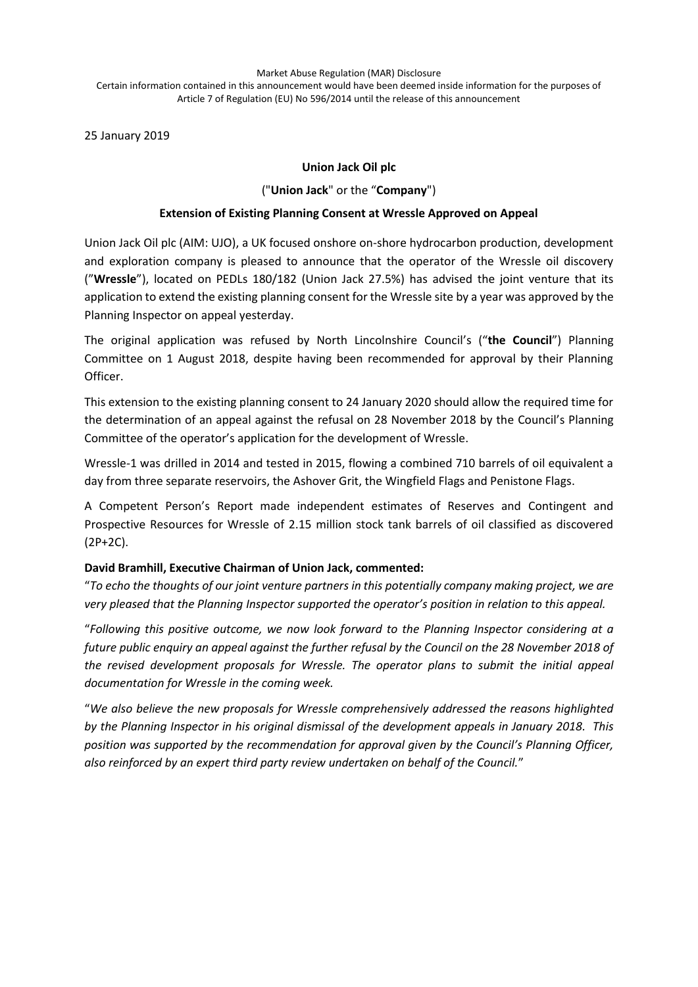Market Abuse Regulation (MAR) Disclosure

Certain information contained in this announcement would have been deemed inside information for the purposes of Article 7 of Regulation (EU) No 596/2014 until the release of this announcement

25 January 2019

# **Union Jack Oil plc**

## ("**Union Jack**" or the "**Company**")

#### **Extension of Existing Planning Consent at Wressle Approved on Appeal**

Union Jack Oil plc (AIM: UJO), a UK focused onshore on-shore hydrocarbon production, development and exploration company is pleased to announce that the operator of the Wressle oil discovery ("**Wressle**"), located on PEDLs 180/182 (Union Jack 27.5%) has advised the joint venture that its application to extend the existing planning consent for the Wressle site by a year was approved by the Planning Inspector on appeal yesterday.

The original application was refused by North Lincolnshire Council's ("**the Council**") Planning Committee on 1 August 2018, despite having been recommended for approval by their Planning Officer.

This extension to the existing planning consent to 24 January 2020 should allow the required time for the determination of an appeal against the refusal on 28 November 2018 by the Council's Planning Committee of the operator's application for the development of Wressle.

Wressle-1 was drilled in 2014 and tested in 2015, flowing a combined 710 barrels of oil equivalent a day from three separate reservoirs, the Ashover Grit, the Wingfield Flags and Penistone Flags.

A Competent Person's Report made independent estimates of Reserves and Contingent and Prospective Resources for Wressle of 2.15 million stock tank barrels of oil classified as discovered (2P+2C).

## **David Bramhill, Executive Chairman of Union Jack, commented:**

"*To echo the thoughts of our joint venture partners in this potentially company making project, we are very pleased that the Planning Inspector supported the operator's position in relation to this appeal.*

"*Following this positive outcome, we now look forward to the Planning Inspector considering at a future public enquiry an appeal against the further refusal by the Council on the 28 November 2018 of the revised development proposals for Wressle. The operator plans to submit the initial appeal documentation for Wressle in the coming week.*

"*We also believe the new proposals for Wressle comprehensively addressed the reasons highlighted by the Planning Inspector in his original dismissal of the development appeals in January 2018. This position was supported by the recommendation for approval given by the Council's Planning Officer, also reinforced by an expert third party review undertaken on behalf of the Council.*"